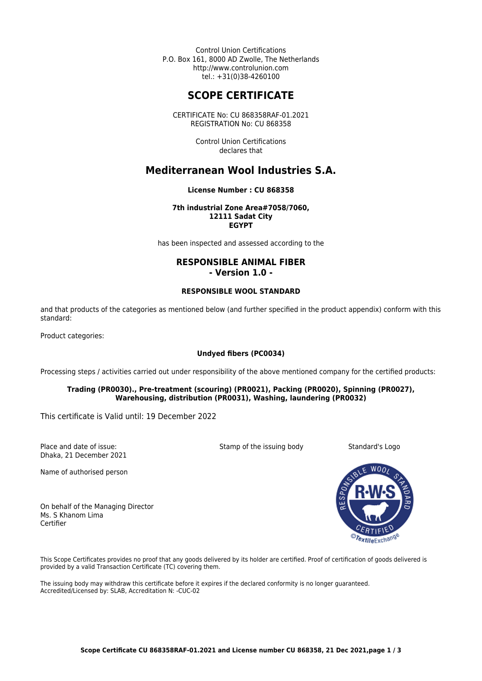Control Union Certifications P.O. Box 161, 8000 AD Zwolle, The Netherlands http://www.controlunion.com tel.: +31(0)38-4260100

# **SCOPE CERTIFICATE**

CERTIFICATE No: CU 868358RAF-01.2021 REGISTRATION No: CU 868358

> Control Union Certifications declares that

# **Mediterranean Wool Industries S.A.**

### **License Number : CU 868358**

#### **7th industrial Zone Area#7058/7060, 12111 Sadat City EGYPT**

has been inspected and assessed according to the

## **RESPONSIBLE ANIMAL FIBER - Version 1.0 -**

#### **RESPONSIBLE WOOL STANDARD**

and that products of the categories as mentioned below (and further specified in the product appendix) conform with this standard:

Product categories:

## **Undyed fibers (PC0034)**

Processing steps / activities carried out under responsibility of the above mentioned company for the certified products:

### **Trading (PR0030)., Pre-treatment (scouring) (PR0021), Packing (PR0020), Spinning (PR0027), Warehousing, distribution (PR0031), Washing, laundering (PR0032)**

This certificate is Valid until: 19 December 2022

Place and date of issue: Dhaka, 21 December 2021

Name of authorised person

On behalf of the Managing Director Ms. S Khanom Lima Certifier

Stamp of the issuing body Standard's Logo



This Scope Certificates provides no proof that any goods delivered by its holder are certified. Proof of certification of goods delivered is provided by a valid Transaction Certificate (TC) covering them.

The issuing body may withdraw this certificate before it expires if the declared conformity is no longer guaranteed. Accredited/Licensed by: SLAB, Accreditation N: -CUC-02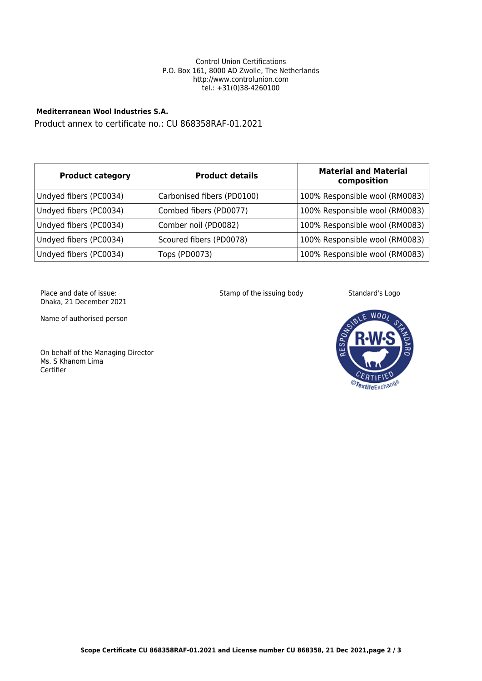#### Control Union Certifications P.O. Box 161, 8000 AD Zwolle, The Netherlands http://www.controlunion.com tel.: +31(0)38-4260100

## **Mediterranean Wool Industries S.A.**

Product annex to certificate no.: CU 868358RAF-01.2021

| <b>Product category</b> | <b>Product details</b>     | <b>Material and Material</b><br>composition |
|-------------------------|----------------------------|---------------------------------------------|
| Undyed fibers (PC0034)  | Carbonised fibers (PD0100) | 100% Responsible wool (RM0083)              |
| Undyed fibers (PC0034)  | Combed fibers (PD0077)     | 100% Responsible wool (RM0083)              |
| Undyed fibers (PC0034)  | Comber noil (PD0082)       | 100% Responsible wool (RM0083)              |
| Undyed fibers (PC0034)  | Scoured fibers (PD0078)    | 100% Responsible wool (RM0083)              |
| Undyed fibers (PC0034)  | Tops (PD0073)              | 100% Responsible wool (RM0083)              |

Place and date of issue: Dhaka, 21 December 2021

Name of authorised person

On behalf of the Managing Director Ms. S Khanom Lima Certifier

Stamp of the issuing body Standard's Logo